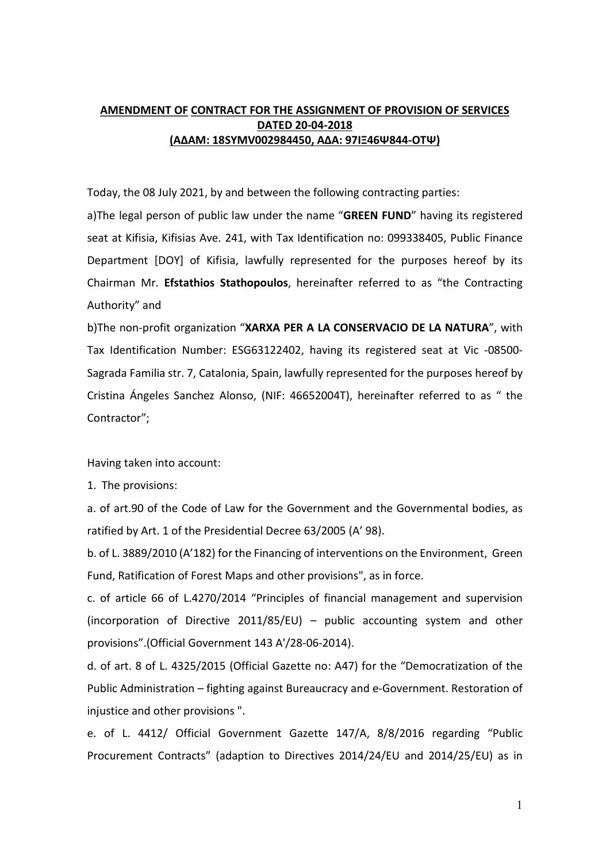# AMENDMENT OF CONTRACT FOR THE ASSIGNMENT OF PROVISION OF SERVICES DATED 20-04-2018 (ΑΔΑΜ: 18SYMV002984450, ΑΔΑ: 97ΙΞ46Ψ844-ΟΤΨ)

Today, the 08 July 2021, by and between the following contracting parties:

a)The legal person of public law under the name "GREEN FUND" having its registered seat at Kifisia, Kifisias Ave. 241, with Τax Ιdentification no: 099338405, Public Finance Department [DOY] of Kifisia, lawfully represented for the purposes hereof by its Chairman Mr. Efstathios Stathopoulos, hereinafter referred to as "the Contracting Authority" and

b)The non-profit organization "XARXA PER A LA CONSERVACIO DE LA NATURA", with Tax Identification Number: ESG63122402, having its registered seat at Vic -08500- Sagrada Familia str. 7, Catalonia, Spain, lawfully represented for the purposes hereof by Cristina Ángeles Sanchez Alonso, (NIF: 46652004T), hereinafter referred to as " the Contractor";

Having taken into account:

1. The provisions:

a. of art.90 of the Code of Law for the Government and the Governmental bodies, as ratified by Art. 1 of the Presidential Decree 63/2005 (Α' 98).

b. of L. 3889/2010 (Α'182) for the Financing of interventions on the Environment, Green Fund, Ratification of Forest Maps and other provisions", as in force.

c. of article 66 of L.4270/2014 "Principles of financial management and supervision (incorporation of Directive 2011/85/ΕU) – public accounting system and other provisions".(Official Government 143 Α'/28-06-2014).

d. of art. 8 of L. 4325/2015 (Official Gazette no: A47) for the "Democratization of the Public Administration – fighting against Bureaucracy and e-Government. Restoration of injustice and other provisions ".

e. of L. 4412/ Official Government Gazette 147/A, 8/8/2016 regarding "Public Procurement Contracts" (adaption to Directives 2014/24/ΕU and 2014/25/ΕU) as in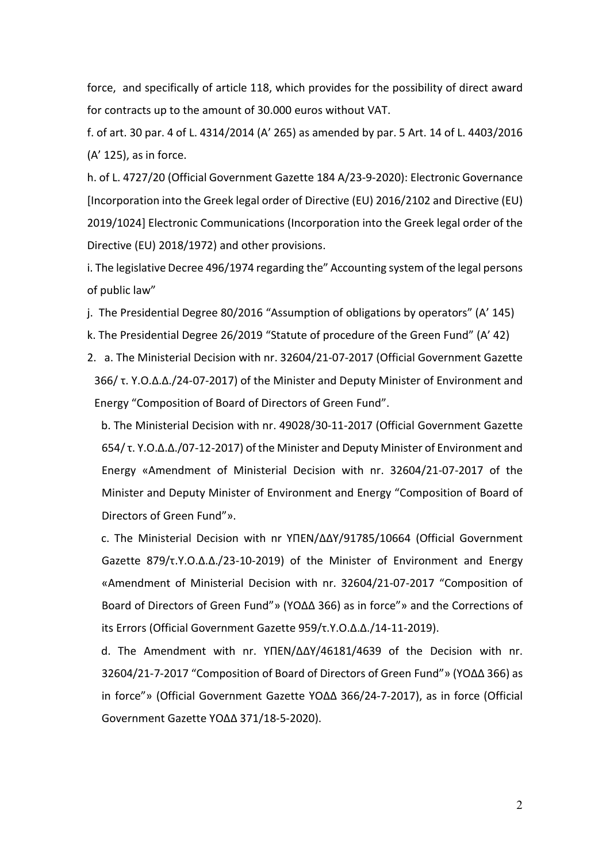force, and specifically of article 118, which provides for the possibility of direct award for contracts up to the amount of 30.000 euros without VAT.

f. of art. 30 par. 4 of L. 4314/2014 (A' 265) as amended by par. 5 Art. 14 of L. 4403/2016 (A' 125), as in force.

h. of L. 4727/20 (Official Government Gazette 184 Α/23-9-2020): Electronic Governance [Incorporation into the Greek legal order of Directive (ΕU) 2016/2102 and Directive (ΕU) 2019/1024] Electronic Communications (Incorporation into the Greek legal order of the Directive (ΕU) 2018/1972) and other provisions.

i. The legislative Decree 496/1974 regarding the" Accounting system of the legal persons of public law"

j. The Presidential Degree 80/2016 "Assumption of obligations by operators" (Α' 145)

- k. The Presidential Degree 26/2019 "Statute of procedure of the Green Fund" (Α' 42)
- 2. a. The Ministerial Decision with nr. 32604/21-07-2017 (Official Government Gazette 366/ τ. Υ.Ο.Δ.Δ./24-07-2017) of the Minister and Deputy Minister of Environment and Energy "Composition of Board of Directors of Green Fund".

 b. The Ministerial Decision with nr. 49028/30-11-2017 (Official Government Gazette 654/ τ. Υ.Ο.Δ.Δ./07-12-2017) of the Minister and Deputy Minister of Environment and Energy «Amendment of Ministerial Decision with nr. 32604/21-07-2017 of the Minister and Deputy Minister of Environment and Energy "Composition of Board of Directors of Green Fund"».

 c. The Ministerial Decision with nr ΥΠΕΝ/ΔΔΥ/91785/10664 (Official Government Gazette 879/τ.Υ.Ο.Δ.Δ./23-10-2019) of the Minister of Environment and Energy «Amendment of Ministerial Decision with nr. 32604/21-07-2017 "Composition of Board of Directors of Green Fund"» (ΥΟΔΔ 366) as in force"» and the Corrections of its Errors (Official Government Gazette 959/τ.Υ.Ο.Δ.Δ./14-11-2019).

 d. The Amendment with nr. ΥΠΕΝ/ΔΔΥ/46181/4639 of the Decision with nr. 32604/21-7-2017 "Composition of Board of Directors of Green Fund"» (ΥΟΔΔ 366) as in force"» (Official Government Gazette ΥΟΔΔ 366/24-7-2017), as in force (Official Government Gazette ΥΟΔΔ 371/18-5-2020).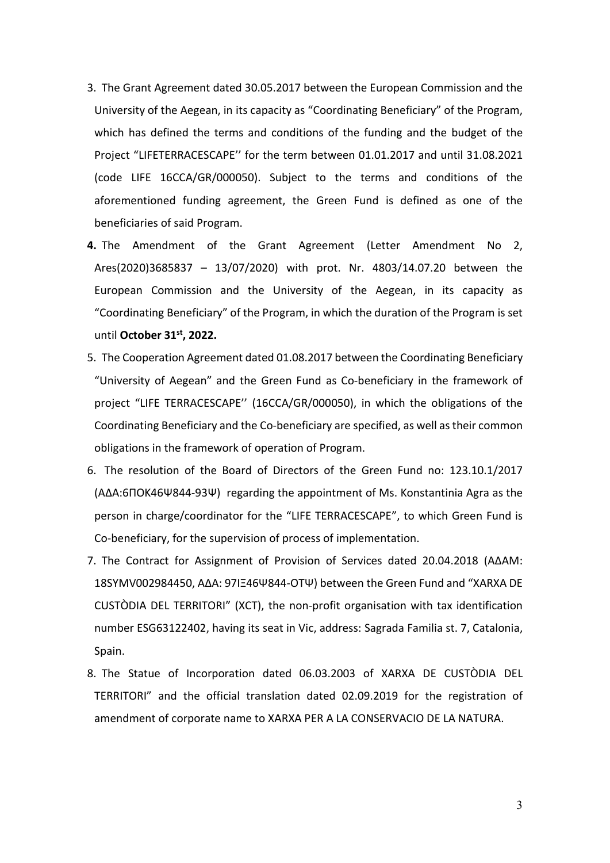- 3. The Grant Agreement dated 30.05.2017 between the European Commission and the University of the Aegean, in its capacity as "Coordinating Beneficiary" of the Program, which has defined the terms and conditions of the funding and the budget of the Project "LIFETERRACESCAPE'' for the term between 01.01.2017 and until 31.08.2021 (code LIFE 16CCA/GR/000050). Subject to the terms and conditions of the aforementioned funding agreement, the Green Fund is defined as one of the beneficiaries of said Program.
- 4. The Amendment of the Grant Agreement (Letter Amendment No 2, Ares(2020)3685837 – 13/07/2020) with prot. Nr. 4803/14.07.20 between the European Commission and the University of the Aegean, in its capacity as "Coordinating Beneficiary" of the Program, in which the duration of the Program is set until October 31st, 2022.
- 5. The Cooperation Agreement dated 01.08.2017 between the Coordinating Beneficiary "University of Aegean" and the Green Fund as Co-beneficiary in the framework of project "LIFE TERRACESCAPE'' (16CCA/GR/000050), in which the obligations of the Coordinating Beneficiary and the Co-beneficiary are specified, as well as their common obligations in the framework of operation of Program.
- 6. The resolution of the Board of Directors of the Green Fund no: 123.10.1/2017 (ΑΔΑ:6ΠΟΚ46Ψ844-93Ψ) regarding the appointment of Ms. Konstantinia Agra as the person in charge/coordinator for the "LIFE TERRACESCAPE", to which Green Fund is Co-beneficiary, for the supervision of process of implementation.
- 7. Τhe Contract for Assignment of Provision of Services dated 20.04.2018 (ΑΔΑΜ: 18SYMV002984450, ΑΔΑ: 97ΙΞ46Ψ844-ΟΤΨ) between the Green Fund and "XARXA DE CUSTÒDIA DEL TERRITORI" (XCT), the non-profit organisation with tax identification number ESG63122402, having its seat in Vic, address: Sagrada Familia st. 7, Catalonia, Spain.
- 8. The Statue of Incorporation dated 06.03.2003 of XARXA DE CUSTÒDIA DEL TERRITORI" and the official translation dated 02.09.2019 for the registration of amendment of corporate name to XARXA PER A LA CONSERVACIO DE LA NATURA.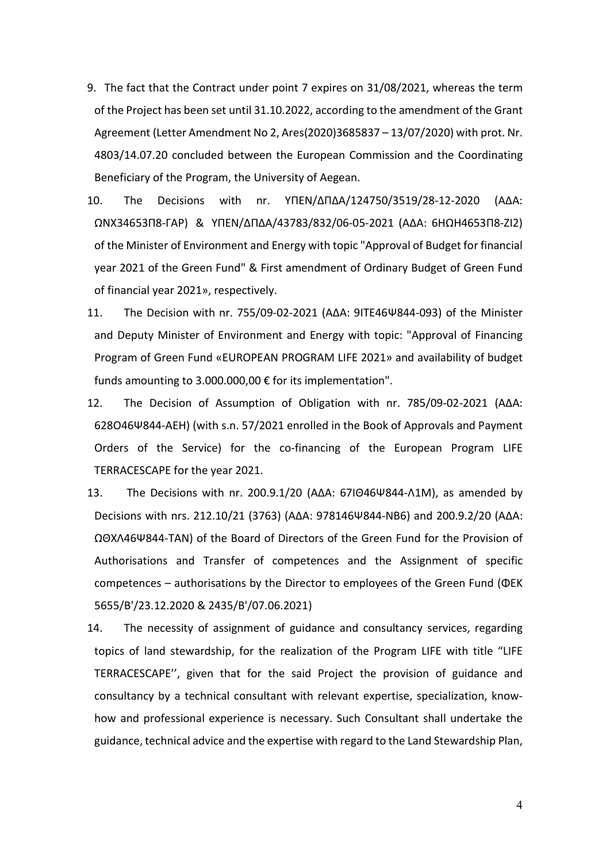- 9. The fact that the Contract under point 7 expires on 31/08/2021, whereas the term of the Project has been set until 31.10.2022, according to the amendment of the Grant Agreement (Letter Amendment No 2, Ares(2020)3685837 – 13/07/2020) with prot. Nr. 4803/14.07.20 concluded between the European Commission and the Coordinating Beneficiary of the Program, the University of Aegean.
- 10. The Decisions with nr. ΥΠΕΝ/ΔΠΔΑ/124750/3519/28-12-2020 (ΑΔΑ: ΩΝΧ34653Π8-ΓΑΡ) & ΥΠΕΝ/ΔΠΔΑ/43783/832/06-05-2021 (ΑΔΑ: 6ΗΩΗ4653Π8-ΖΙ2) of the Minister of Environment and Energy with topic "Approval of Budget for financial year 2021 of the Green Fund" & First amendment of Ordinary Budget of Green Fund of financial year 2021», respectively.
- 11. The Decision with nr. 755/09-02-2021 (ΑΔΑ: 9ΙΤΕ46Ψ844-093) of the Minister and Deputy Minister of Environment and Energy with topic: "Approval of Financing Program of Green Fund «EUROPEAN PROGRAM LIFE 2021» and availability of budget funds amounting to 3.000.000,00 € for its implementation".
- 12. The Decision of Assumption of Obligation with nr. 785/09-02-2021 (ΑΔΑ: 628Ο46Ψ844-ΑΕΗ) (with s.n. 57/2021 enrolled in the Book of Approvals and Payment Orders of the Service) for the co-financing of the European Program LIFE TERRACESCAPE for the year 2021.
- 13. The Decisions with nr. 200.9.1/20 (ΑΔΑ: 67ΙΘ46Ψ844-Λ1Μ), as amended by Decisions with nrs. 212.10/21 (3763) (ΑΔΑ: 978146Ψ844-ΝΒ6) and 200.9.2/20 (ΑΔΑ: ΩΘΧΛ46Ψ844-ΤΑΝ) of the Board of Directors of the Green Fund for the Provision of Authorisations and Transfer of competences and the Assignment of specific competences – authorisations by the Director to employees of the Green Fund (ΦΕΚ 5655/Β'/23.12.2020 & 2435/Β'/07.06.2021)
- 14. The necessity of assignment of guidance and consultancy services, regarding topics of land stewardship, for the realization of the Program LIFE with title "LIFE TERRACESCAPE'', given that for the said Project the provision of guidance and consultancy by a technical consultant with relevant expertise, specialization, knowhow and professional experience is necessary. Such Consultant shall undertake the guidance, technical advice and the expertise with regard to the Land Stewardship Plan,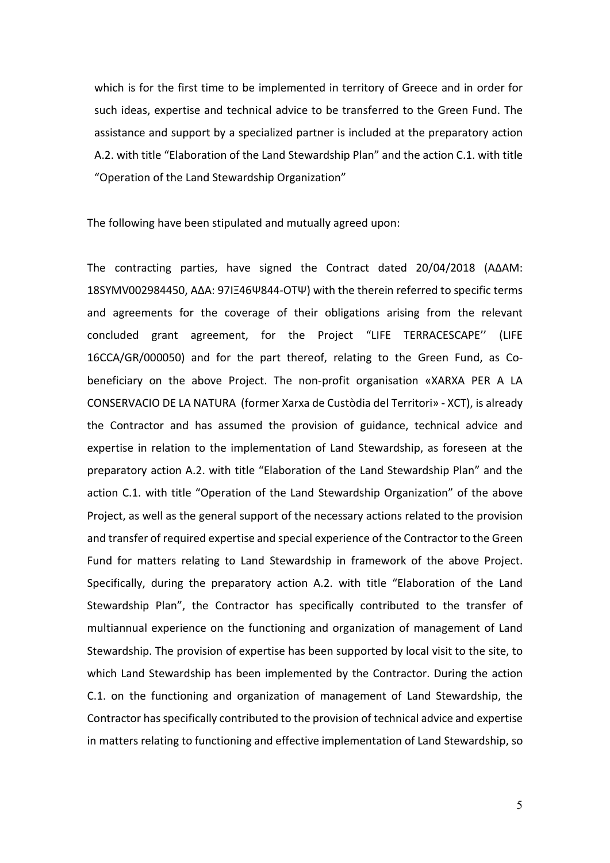which is for the first time to be implemented in territory of Greece and in order for such ideas, expertise and technical advice to be transferred to the Green Fund. The assistance and support by a specialized partner is included at the preparatory action A.2. with title "Elaboration of the Land Stewardship Plan" and the action C.1. with title "Operation of the Land Stewardship Organization"

The following have been stipulated and mutually agreed upon:

The contracting parties, have signed the Contract dated 20/04/2018 (ΑΔΑΜ: 18SYMV002984450, ΑΔΑ: 97ΙΞ46Ψ844-ΟΤΨ) with the therein referred to specific terms and agreements for the coverage of their obligations arising from the relevant concluded grant agreement, for the Project "LIFE TERRACESCAPE'' (LIFE 16CCA/GR/000050) and for the part thereof, relating to the Green Fund, as Cobeneficiary on the above Project. The non-profit organisation «XARXA PER A LA CONSERVACIO DE LA NATURA (former Xarxa de Custòdia del Territori» - XCT), is already the Contractor and has assumed the provision of guidance, technical advice and expertise in relation to the implementation of Land Stewardship, as foreseen at the preparatory action A.2. with title "Elaboration of the Land Stewardship Plan" and the action C.1. with title "Operation of the Land Stewardship Organization" of the above Project, as well as the general support of the necessary actions related to the provision and transfer of required expertise and special experience of the Contractor to the Green Fund for matters relating to Land Stewardship in framework of the above Project. Specifically, during the preparatory action A.2. with title "Elaboration of the Land Stewardship Plan", the Contractor has specifically contributed to the transfer of multiannual experience on the functioning and organization of management of Land Stewardship. The provision of expertise has been supported by local visit to the site, to which Land Stewardship has been implemented by the Contractor. During the action C.1. on the functioning and organization of management of Land Stewardship, the Contractor has specifically contributed to the provision of technical advice and expertise in matters relating to functioning and effective implementation of Land Stewardship, so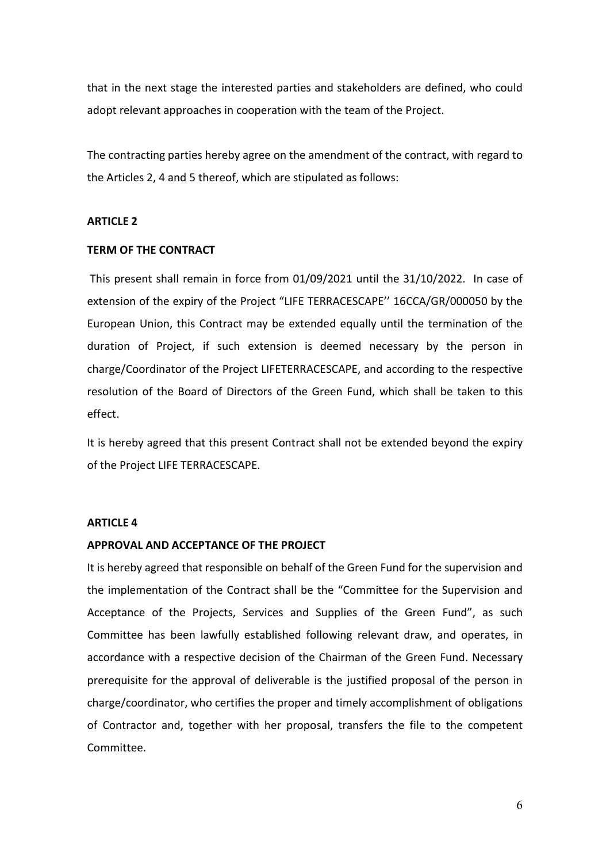that in the next stage the interested parties and stakeholders are defined, who could adopt relevant approaches in cooperation with the team of the Project.

The contracting parties hereby agree on the amendment of the contract, with regard to the Articles 2, 4 and 5 thereof, which are stipulated as follows:

## **ARTICLE 2**

#### TERM OF THE CONTRACT

 This present shall remain in force from 01/09/2021 until the 31/10/2022. In case of extension of the expiry of the Project "LIFE TERRACESCAPE'' 16CCA/GR/000050 by the European Union, this Contract may be extended equally until the termination of the duration of Project, if such extension is deemed necessary by the person in charge/Coordinator of the Project LIFETERRACESCAPE, and according to the respective resolution of the Board of Directors of the Green Fund, which shall be taken to this effect.

It is hereby agreed that this present Contract shall not be extended beyond the expiry of the Project LIFE TERRACESCAPE.

## ARTICLE 4

## APPROVAL AND ACCEPTANCE OF THE PROJECT

It is hereby agreed that responsible on behalf of the Green Fund for the supervision and the implementation of the Contract shall be the "Committee for the Supervision and Acceptance of the Projects, Services and Supplies of the Green Fund", as such Committee has been lawfully established following relevant draw, and operates, in accordance with a respective decision of the Chairman of the Green Fund. Necessary prerequisite for the approval of deliverable is the justified proposal of the person in charge/coordinator, whο certifies the proper and timely accomplishment of obligations of Contractor and, together with her proposal, transfers the file to the competent Committee.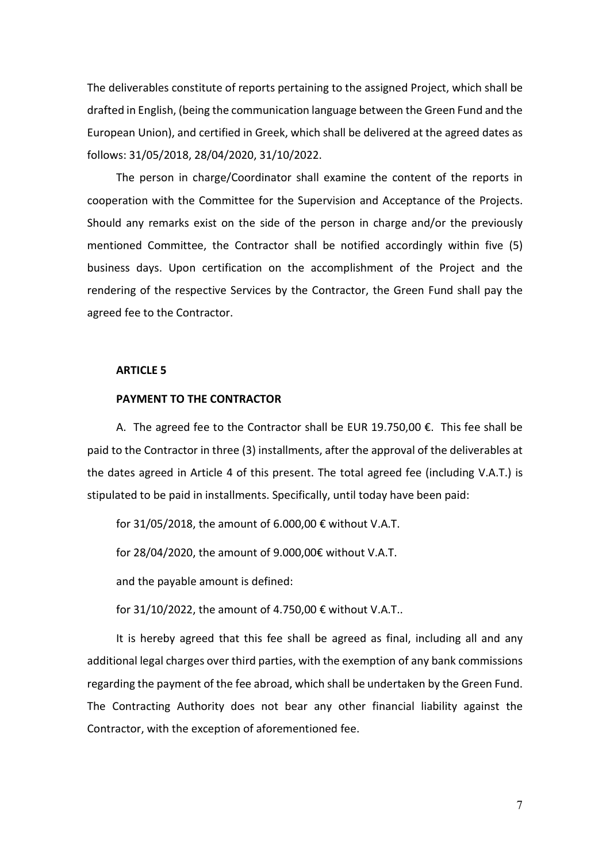The deliverables constitute of reports pertaining to the assigned Project, which shall be drafted in English, (being the communication language between the Green Fund and the European Union), and certified in Greek, which shall be delivered at the agreed dates as follows: 31/05/2018, 28/04/2020, 31/10/2022.

The person in charge/Coordinator shall examine the content of the reports in cooperation with the Committee for the Supervision and Acceptance of the Projects. Should any remarks exist on the side of the person in charge and/or the previously mentioned Committee, the Contractor shall be notified accordingly within five (5) business days. Upon certification on the accomplishment of the Project and the rendering of the respective Services by the Contractor, the Green Fund shall pay the agreed fee to the Contractor.

#### ARTICLE 5

### PAYMENT TO THE CONTRACTOR

Α. The agreed fee to the Contractor shall be EUR 19.750,00 €. This fee shall be paid to the Contractor in three (3) installments, after the approval of the deliverables at the dates agreed in Article 4 of this present. The total agreed fee (including V.A.T.) is stipulated to be paid in installments. Specifically, until today have been paid:

for 31/05/2018, the amount of 6.000,00 € without V.A.T.

for 28/04/2020, the amount of 9.000,00€ without V.A.T.

and the payable amount is defined:

for 31/10/2022, the amount of 4.750,00 € without V.A.T..

It is hereby agreed that this fee shall be agreed as final, including all and any additional legal charges over third parties, with the exemption of any bank commissions regarding the payment of the fee abroad, which shall be undertaken by the Green Fund. The Contracting Authority does not bear any other financial liability against the Contractor, with the exception of aforementioned fee.